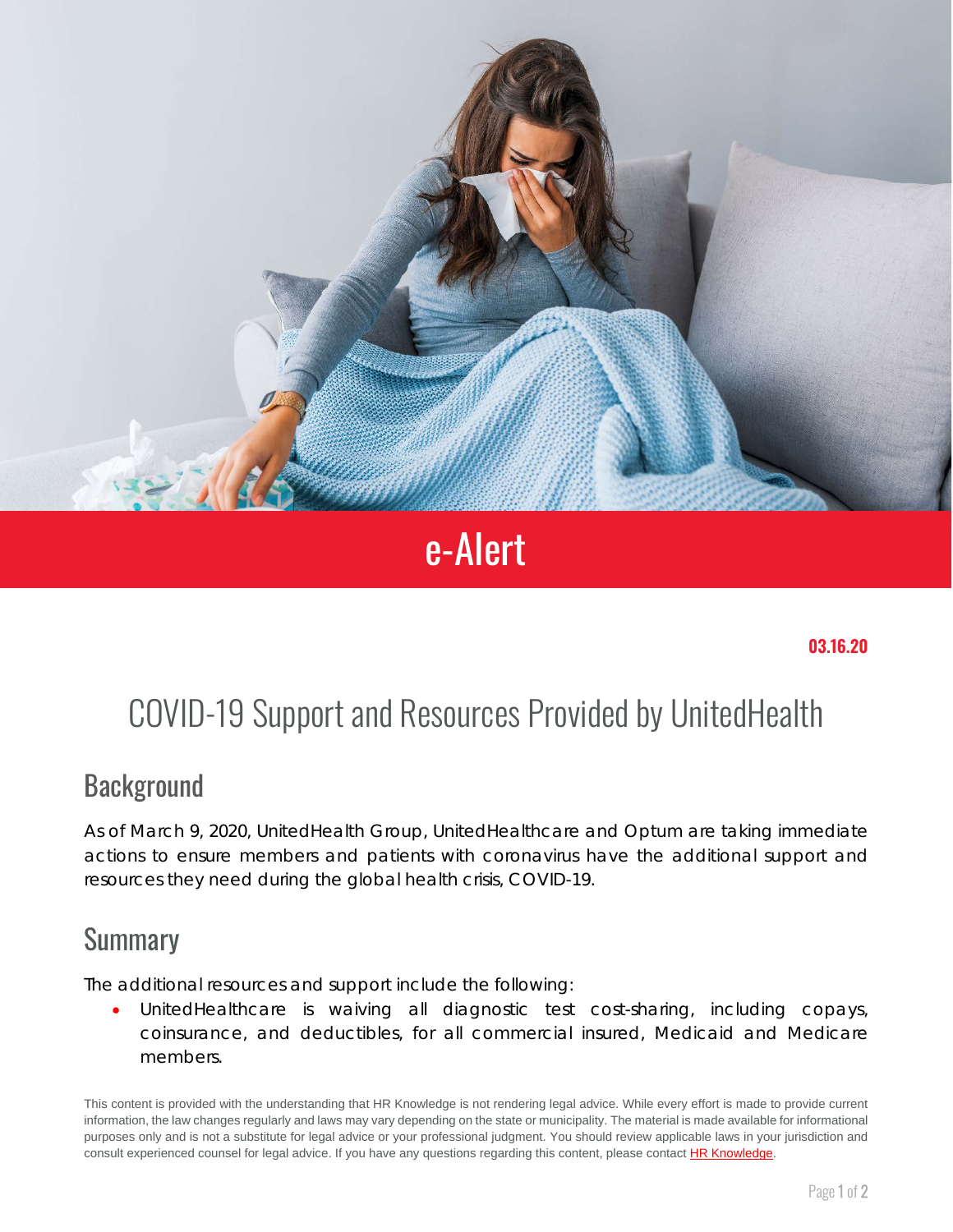

# e-Alert

## COVID-19 Support and Resources Provided by UnitedHealth

#### **Background**

As of March 9, 2020, UnitedHealth Group, UnitedHealthcare and Optum are taking immediate actions to ensure members and patients with coronavirus have the additional support and resources they need during the global health crisis, COVID-19.

#### **Summary**

The additional resources and support include the following:

• UnitedHealthcare is waiving all diagnostic test cost-sharing, including copays, coinsurance, and deductibles, for all commercial insured, Medicaid and Medicare members.

This content is provided with the understanding that HR Knowledge is not rendering legal advice. While every effort is made to provide current information, the law changes regularly and laws may vary depending on the state or municipality. The material is made available for informational purposes only and is not a substitute for legal advice or your professional judgment. You should review applicable laws in your jurisdiction and consult experienced counsel for legal advice. If you have any questions regarding this content, please contac[t HR Knowledge.](mailto:marketing@hrknowledge.com)